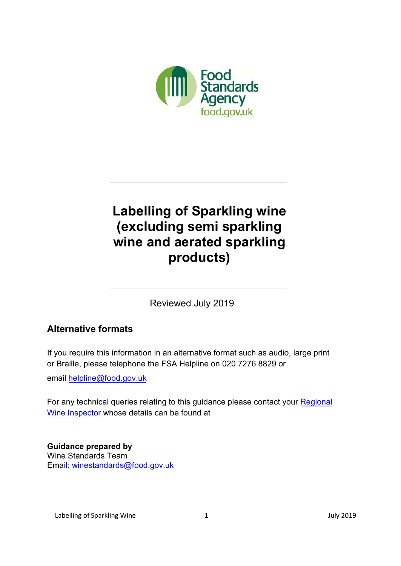

# **Labelling of Sparkling wine (excluding semi sparkling wine and aerated sparkling products)**

Reviewed July 2019

## **Alternative formats**

If you require this information in an alternative format such as audio, large print or Braille, please telephone the FSA Helpline on 020 7276 8829 or

email [helpline@food.gov.uk](mailto:helpline@foodstandards.gsi.gov.uk)

For any technical queries relating to this guidance please contact your Regional Wine [Inspector whose details can be found at](https://www.food.gov.uk/business-guidance/uk-vineyard-register) 

**Guidance prepared by** Wine Standards Team Email: [winestandards@food.gov.uk](mailto:winestandards@food.gov.uk)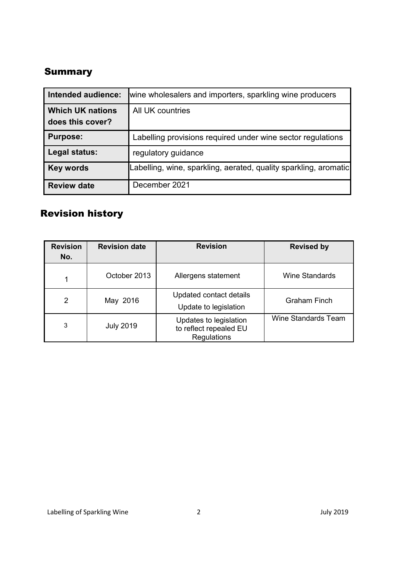# <span id="page-1-0"></span>**Summary**

| Intended audience:                          | wine wholesalers and importers, sparkling wine producers         |  |
|---------------------------------------------|------------------------------------------------------------------|--|
| <b>Which UK nations</b><br>does this cover? | All UK countries                                                 |  |
| <b>Purpose:</b>                             | Labelling provisions required under wine sector regulations      |  |
| Legal status:                               | regulatory guidance                                              |  |
| <b>Key words</b>                            | Labelling, wine, sparkling, aerated, quality sparkling, aromatic |  |
| <b>Review date</b>                          | December 2021                                                    |  |

# <span id="page-1-1"></span>Revision history

| <b>Revision</b><br>No. | <b>Revision date</b> | <b>Revision</b>                                                 | <b>Revised by</b>          |
|------------------------|----------------------|-----------------------------------------------------------------|----------------------------|
|                        | October 2013         | Allergens statement                                             | <b>Wine Standards</b>      |
| $\overline{2}$         | May 2016             | Updated contact details<br>Update to legislation                | <b>Graham Finch</b>        |
| 3                      | <b>July 2019</b>     | Updates to legislation<br>to reflect repealed EU<br>Regulations | <b>Wine Standards Team</b> |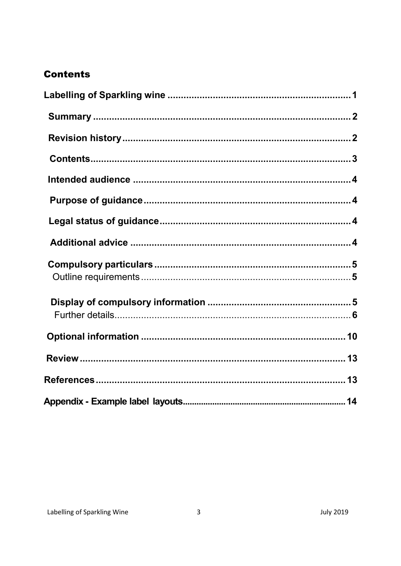# <span id="page-2-0"></span>**Contents**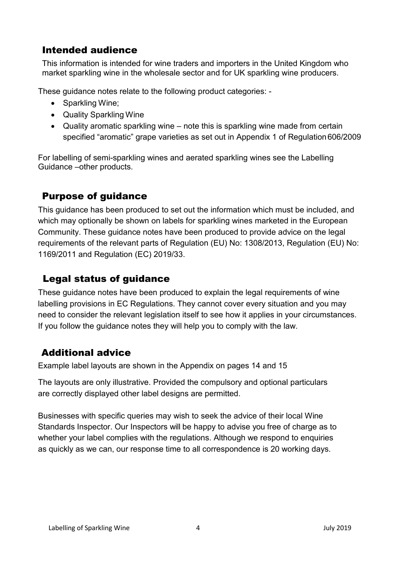# <span id="page-3-0"></span>Intended audience

This information is intended for wine traders and importers in the United Kingdom who market sparkling wine in the wholesale sector and for UK sparkling wine producers.

These guidance notes relate to the following product categories: -

- Sparkling Wine;
- Quality Sparkling Wine
- Quality aromatic sparkling wine note this is sparkling wine made from certain specified "aromatic" grape varieties as set out in Appendix 1 of Regulation606/2009

For labelling of semi-sparkling wines and aerated sparkling wines see the Labelling Guidance –other products.

# <span id="page-3-1"></span>Purpose of guidance

This guidance has been produced to set out the information which must be included, and which may optionally be shown on labels for sparkling wines marketed in the European Community. These guidance notes have been produced to provide advice on the legal requirements of the relevant parts of Regulation (EU) No: 1308/2013, Regulation (EU) No: 1169/2011 and Regulation (EC) 2019/33.

# <span id="page-3-2"></span>Legal status of guidance

These guidance notes have been produced to explain the legal requirements of wine labelling provisions in EC Regulations. They cannot cover every situation and you may need to consider the relevant legislation itself to see how it applies in your circumstances. If you follow the guidance notes they will help you to comply with the law.

# <span id="page-3-3"></span>Additional advice

Example label layouts are shown in the Appendix on pages 14 and 15

The layouts are only illustrative. Provided the compulsory and optional particulars are correctly displayed other label designs are permitted.

Businesses with specific queries may wish to seek the advice of their local Wine Standards Inspector. Our Inspectors will be happy to advise you free of charge as to whether your label complies with the regulations. Although we respond to enquiries as quickly as we can, our response time to all correspondence is 20 working days.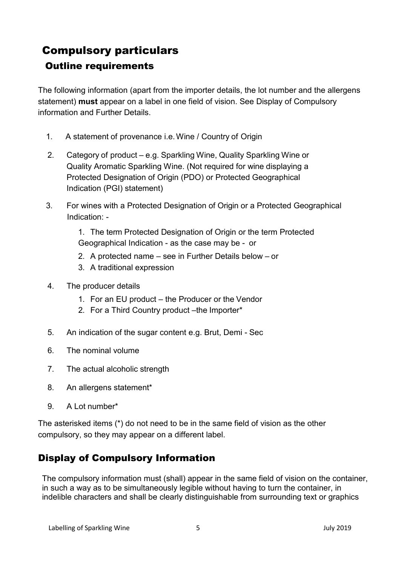# <span id="page-4-1"></span><span id="page-4-0"></span>Compulsory particulars Outline requirements

The following information (apart from the importer details, the lot number and the allergens statement) **must** appear on a label in one field of vision. See Display of Compulsory information and Further Details.

- 1. A statement of provenance i.e.Wine / Country of Origin
- 2. Category of product e.g. Sparkling Wine, Quality Sparkling Wine or Quality Aromatic Sparkling Wine. (Not required for wine displaying a Protected Designation of Origin (PDO) or Protected Geographical Indication (PGI) statement)
- 3. For wines with a Protected Designation of Origin or a Protected Geographical Indication: -

1. The term Protected Designation of Origin or the term Protected Geographical Indication - as the case may be - or

- 2. A protected name see in Further Details below or
- 3. A traditional expression
- 4. The producer details
	- 1. For an EU product the Producer or the Vendor
	- 2. For a Third Country product –the Importer\*
- 5. An indication of the sugar content e.g. Brut, Demi Sec
- 6. The nominal volume
- 7. The actual alcoholic strength
- 8. An allergens statement\*
- 9. A Lot number\*

The asterisked items (\*) do not need to be in the same field of vision as the other compulsory, so they may appear on a different label.

## <span id="page-4-2"></span>Display of Compulsory Information

<span id="page-4-3"></span>The compulsory information must (shall) appear in the same field of vision on the container, in such a way as to be simultaneously legible without having to turn the container, in indelible characters and shall be clearly distinguishable from surrounding text or graphics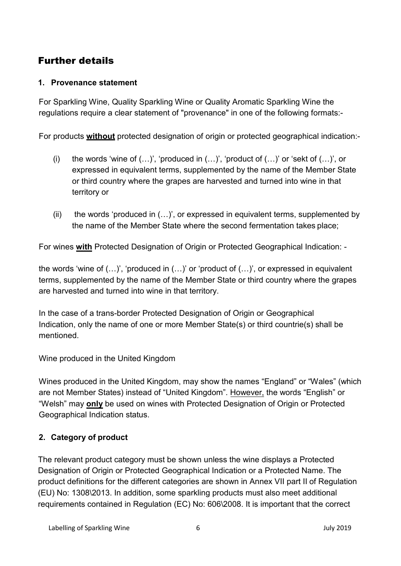# Further details

#### **1. Provenance statement**

For Sparkling Wine, Quality Sparkling Wine or Quality Aromatic Sparkling Wine the regulations require a clear statement of "provenance" in one of the following formats:-

For products **without** protected designation of origin or protected geographical indication:-

- (i) the words 'wine of  $(...)'$ , 'produced in  $(...)'$ , 'product of  $(...)'$  or 'sekt of  $(...)'$ , or expressed in equivalent terms, supplemented by the name of the Member State or third country where the grapes are harvested and turned into wine in that territory or
- (ii) the words 'produced in  $(...)$ ', or expressed in equivalent terms, supplemented by the name of the Member State where the second fermentation takes place;

For wines **with** Protected Designation of Origin or Protected Geographical Indication: -

the words 'wine of (…)', 'produced in (…)' or 'product of (…)', or expressed in equivalent terms, supplemented by the name of the Member State or third country where the grapes are harvested and turned into wine in that territory.

In the case of a trans-border Protected Designation of Origin or Geographical Indication, only the name of one or more Member State(s) or third countrie(s) shall be mentioned.

Wine produced in the United Kingdom

Wines produced in the United Kingdom, may show the names "England" or "Wales" (which are not Member States) instead of "United Kingdom". However, the words "English" or "Welsh" may **only** be used on wines with Protected Designation of Origin or Protected Geographical Indication status.

### **2. Category of product**

The relevant product category must be shown unless the wine displays a Protected Designation of Origin or Protected Geographical Indication or a Protected Name. The product definitions for the different categories are shown in Annex VII part II of Regulation (EU) No: 1308\2013. In addition, some sparkling products must also meet additional requirements contained in Regulation (EC) No: 606\2008. It is important that the correct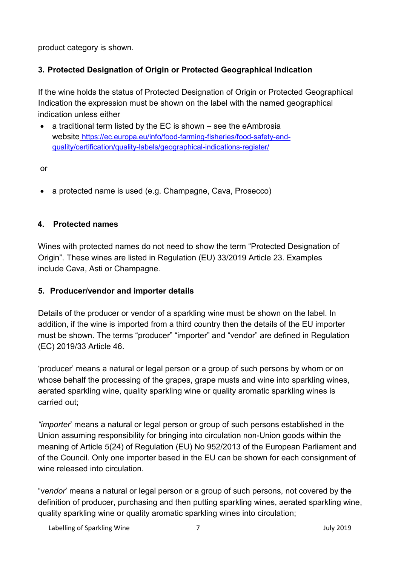product category is shown.

### **3. Protected Designation of Origin or Protected Geographical Indication**

If the wine holds the status of Protected Designation of Origin or Protected Geographical Indication the expression must be shown on the label with the named geographical indication unless either

• a traditional term listed by the EC is shown – see the eAmbrosia website [https://ec.europa.eu/info/food-farming-fisheries/food-safety-and](https://ec.europa.eu/info/food-farming-fisheries/food-safety-and-quality/certification/quality-labels/geographical-indications-register/)[quality/certification/quality-labels/geographical-indications-register/](https://ec.europa.eu/info/food-farming-fisheries/food-safety-and-quality/certification/quality-labels/geographical-indications-register/)

or

• a protected name is used (e.g. Champagne, Cava, Prosecco)

#### **4. Protected names**

Wines with protected names do not need to show the term "Protected Designation of Origin". These wines are listed in Regulation (EU) 33/2019 Article 23. Examples include Cava, Asti or Champagne.

#### **5. Producer/vendor and importer details**

Details of the producer or vendor of a sparkling wine must be shown on the label. In addition, if the wine is imported from a third country then the details of the EU importer must be shown. The terms "producer" "importer" and "vendor" are defined in Regulation (EC) 2019/33 Article 46.

'producer' means a natural or legal person or a group of such persons by whom or on whose behalf the processing of the grapes, grape musts and wine into sparkling wines, aerated sparkling wine, quality sparkling wine or quality aromatic sparkling wines is carried out;

*"importer*' means a natural or legal person or group of such persons established in the Union assuming responsibility for bringing into circulation non-Union goods within the meaning of Article 5(24) of Regulation (EU) No 952/2013 of the European Parliament and of the Council. Only one importer based in the EU can be shown for each consignment of wine released into circulation.

"v*endor*' means a natural or legal person or a group of such persons, not covered by the definition of producer, purchasing and then putting sparkling wines, aerated sparkling wine, quality sparkling wine or quality aromatic sparkling wines into circulation;

Labelling of Sparkling Wine 7 7 2019 10 12:019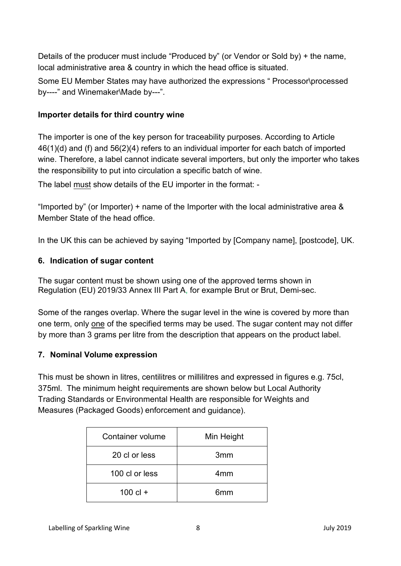Details of the producer must include "Produced by" (or Vendor or Sold by) + the name, local administrative area & country in which the head office is situated.

Some EU Member States may have authorized the expressions " Processor\processed by----" and Winemaker\Made by---".

### **Importer details for third country wine**

The importer is one of the key person for traceability purposes. According to Article 46(1)(d) and (f) and 56(2)(4) refers to an individual importer for each batch of imported wine. Therefore, a label cannot indicate several importers, but only the importer who takes the responsibility to put into circulation a specific batch of wine.

The label must show details of the EU importer in the format: -

"Imported by" (or Importer) + name of the Importer with the local administrative area & Member State of the head office.

In the UK this can be achieved by saying "Imported by [Company name], [postcode], UK.

### **6. Indication of sugar content**

The sugar content must be shown using one of the approved terms shown in Regulation (EU) 2019/33 Annex III Part A, for example Brut or Brut, Demi-sec.

Some of the ranges overlap. Where the sugar level in the wine is covered by more than one term, only one of the specified terms may be used. The sugar content may not differ by more than 3 grams per litre from the description that appears on the product label.

### **7. Nominal Volume expression**

This must be shown in litres, centilitres or millilitres and expressed in figures e.g. 75cl, 375ml. The minimum height requirements are shown below but Local Authority Trading Standards or Environmental Health are responsible for Weights and Measures (Packaged Goods) enforcement and guidance).

| Container volume | Min Height      |
|------------------|-----------------|
| 20 cl or less    | 3 <sub>mm</sub> |
| 100 cl or less   | 4mm             |
| $100$ cl +       | 6 <sub>mm</sub> |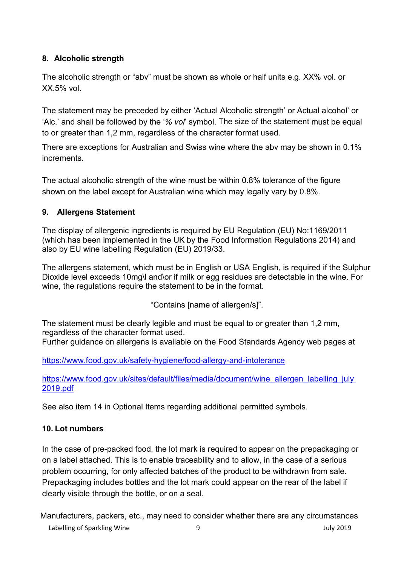### **8. Alcoholic strength**

The alcoholic strength or "abv" must be shown as whole or half units e.g. XX% vol. or XX.5% vol.

The statement may be preceded by either 'Actual Alcoholic strength' or Actual alcohol' or 'Alc.' and shall be followed by the '*% vol*' symbol. The size of the statement must be equal to or greater than 1,2 mm, regardless of the character format used.

There are exceptions for Australian and Swiss wine where the abv may be shown in 0.1% increments.

The actual alcoholic strength of the wine must be within 0.8% tolerance of the figure shown on the label except for Australian wine which may legally vary by 0.8%.

### **9. Allergens Statement**

The display of allergenic ingredients is required by EU Regulation (EU) No:1169/2011 (which has been implemented in the UK by the Food Information Regulations 2014) and also by EU wine labelling Regulation (EU) 2019/33.

The allergens statement, which must be in English or USA English, is required if the Sulphur Dioxide level exceeds 10mg\l and\or if milk or egg residues are detectable in the wine. For wine, the regulations require the statement to be in the format.

"Contains [name of allergen/s]".

The statement must be clearly legible and must be equal to or greater than 1,2 mm, regardless of the character format used. Further guidance on allergens is available on the Food Standards Agency web pages at

<https://www.food.gov.uk/safety-hygiene/food-allergy-and-intolerance>

https://www.food.gov.uk/sites/default/files/media/document/wine\_allergen\_labelling\_july\_ [2019.pdf](https://www.food.gov.uk/sites/default/files/media/document/wine_allergen_labelling_july%202019.pdf) 

See also item 14 in Optional Items regarding additional permitted symbols.

### **10. Lot numbers**

In the case of pre-packed food, the lot mark is required to appear on the prepackaging or on a label attached. This is to enable traceability and to allow, in the case of a serious problem occurring, for only affected batches of the product to be withdrawn from sale. Prepackaging includes bottles and the lot mark could appear on the rear of the label if clearly visible through the bottle, or on a seal.

Labelling of Sparkling Wine  $\overline{9}$  9  $\overline{9}$  9 July 2019 Manufacturers, packers, etc., may need to consider whether there are any circumstances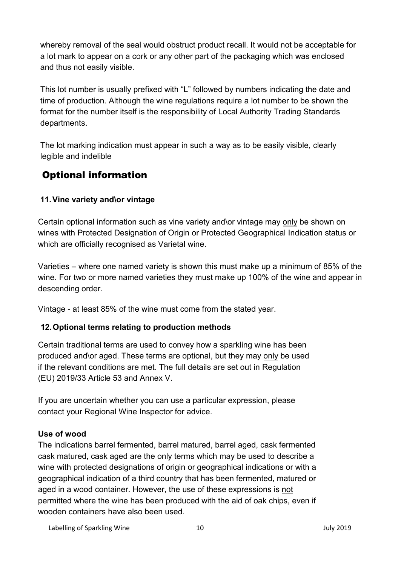whereby removal of the seal would obstruct product recall. It would not be acceptable for a lot mark to appear on a cork or any other part of the packaging which was enclosed and thus not easily visible.

This lot number is usually prefixed with "L" followed by numbers indicating the date and time of production. Although the wine regulations require a lot number to be shown the format for the number itself is the responsibility of Local Authority Trading Standards departments.

The lot marking indication must appear in such a way as to be easily visible, clearly legible and indelible

# <span id="page-9-0"></span>Optional information

### **11. Vine variety and\or vintage**

Certain optional information such as vine variety and\or vintage may only be shown on wines with Protected Designation of Origin or Protected Geographical Indication status or which are officially recognised as Varietal wine.

Varieties – where one named variety is shown this must make up a minimum of 85% of the wine. For two or more named varieties they must make up 100% of the wine and appear in descending order.

Vintage - at least 85% of the wine must come from the stated year.

### **12. Optional terms relating to production methods**

Certain traditional terms are used to convey how a sparkling wine has been produced and\or aged. These terms are optional, but they may only be used if the relevant conditions are met. The full details are set out in Regulation (EU) 2019/33 Article 53 and Annex V.

If you are uncertain whether you can use a particular expression, please contact your Regional Wine Inspector for advice.

#### **Use of wood**

The indications barrel fermented, barrel matured, barrel aged, cask fermented cask matured, cask aged are the only terms which may be used to describe a wine with protected designations of origin or geographical indications or with a geographical indication of a third country that has been fermented, matured or aged in a wood container. However, the use of these expressions is not permitted where the wine has been produced with the aid of oak chips, even if wooden containers have also been used.

Labelling of Sparkling Wine 10 10 and 10 July 2019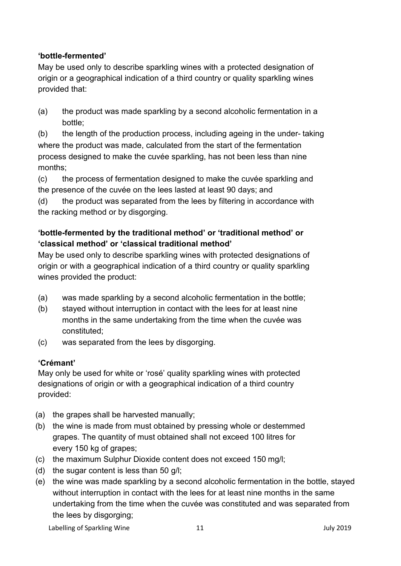### **'bottle-fermented'**

May be used only to describe sparkling wines with a protected designation of origin or a geographical indication of a third country or quality sparkling wines provided that:

(a) the product was made sparkling by a second alcoholic fermentation in a bottle;

(b) the length of the production process, including ageing in the under- taking where the product was made, calculated from the start of the fermentation process designed to make the cuvée sparkling, has not been less than nine months;

(c) the process of fermentation designed to make the cuvée sparkling and the presence of the cuvée on the lees lasted at least 90 days; and

(d) the product was separated from the lees by filtering in accordance with the racking method or by disgorging.

### **'bottle-fermented by the traditional method' or 'traditional method' or 'classical method' or 'classical traditional method'**

May be used only to describe sparkling wines with protected designations of origin or with a geographical indication of a third country or quality sparkling wines provided the product:

- (a) was made sparkling by a second alcoholic fermentation in the bottle;
- (b) stayed without interruption in contact with the lees for at least nine months in the same undertaking from the time when the cuvée was constituted;
- (c) was separated from the lees by disgorging.

### **'Crémant'**

May only be used for white or 'rosé' quality sparkling wines with protected designations of origin or with a geographical indication of a third country provided:

- (a) the grapes shall be harvested manually;
- (b) the wine is made from must obtained by pressing whole or destemmed grapes. The quantity of must obtained shall not exceed 100 litres for every 150 kg of grapes;
- (c) the maximum Sulphur Dioxide content does not exceed 150 mg/l;
- (d) the sugar content is less than 50 g/l;
- (e) the wine was made sparkling by a second alcoholic fermentation in the bottle, stayed without interruption in contact with the lees for at least nine months in the same undertaking from the time when the cuvée was constituted and was separated from the lees by disgorging;

Labelling of Sparkling Wine 11 1 and 11 July 2019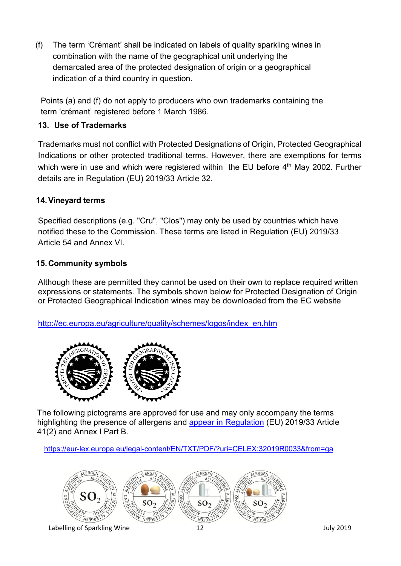(f) The term 'Crémant' shall be indicated on labels of quality sparkling wines in combination with the name of the geographical unit underlying the demarcated area of the protected designation of origin or a geographical indication of a third country in question.

Points (a) and (f) do not apply to producers who own trademarks containing the term 'crémant' registered before 1 March 1986.

### **13. Use of Trademarks**

Trademarks must not conflict with Protected Designations of Origin, Protected Geographical Indications or other protected traditional terms. However, there are exemptions for terms which were in use and which were registered within the EU before 4<sup>th</sup> May 2002. Further details are in Regulation (EU) 2019/33 Article 32.

### **14. Vineyard terms**

Specified descriptions (e.g. "Cru", "Clos") may only be used by countries which have notified these to the Commission. These terms are listed in Regulation (EU) 2019/33 Article 54 and Annex VI.

### **15. Community symbols**

Although these are permitted they cannot be used on their own to replace required written expressions or statements. The symbols shown below for Protected Designation of Origin or Protected Geographical Indication wines may be downloaded from the EC website

[http://ec.europa.eu/agriculture/quality/schemes/logos/index\\_en.htm](http://ec.europa.eu/agriculture/quality/schemes/logos/index_en.htm)



The following pictograms are approved for use and may only accompany the terms highlighting the presence of allergens and [appear in Regulation](https://eur-lex.europa.eu/legal-content/EN/TXT/PDF/?uri=CELEX:32019R0033&from=ga) (EU) 2019/33 Article 41(2) and Annex I Part B.

<https://eur-lex.europa.eu/legal-content/EN/TXT/PDF/?uri=CELEX:32019R0033&from=ga>

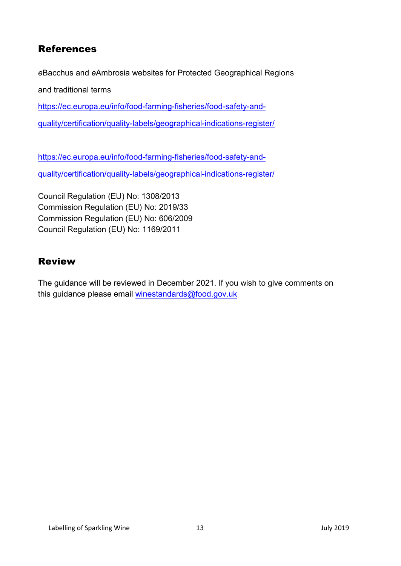## References

*e*Bacchus and *e*Ambrosia websites for Protected Geographical Regions

and traditional terms

[https://ec.europa.eu/info/food-farming-fisheries/food-safety-and-](https://ec.europa.eu/info/food-farming-fisheries/food-safety-and-quality/certification/quality-labels/geographical-indications-register/)

[quality/certification/quality-labels/geographical-indications-register/](https://ec.europa.eu/info/food-farming-fisheries/food-safety-and-quality/certification/quality-labels/geographical-indications-register/)

[https://ec.europa.eu/info/food-farming-fisheries/food-safety-and](https://ec.europa.eu/info/food-farming-fisheries/food-safety-and-quality/certification/quality-labels/geographical-indications-register/)[quality/certification/quality-labels/geographical-indications-register/](https://ec.europa.eu/info/food-farming-fisheries/food-safety-and-quality/certification/quality-labels/geographical-indications-register/)

Council Regulation (EU) No: 1308/2013 Commission Regulation (EU) No: 2019/33 Commission Regulation (EU) No: 606/2009 Council Regulation (EU) No: 1169/2011

## <span id="page-12-0"></span>Review

The guidance will be reviewed in December 2021. If you wish to give comments on this guidance please email [winestandards@food.gov.uk](mailto:winestandards@food.gov.uk)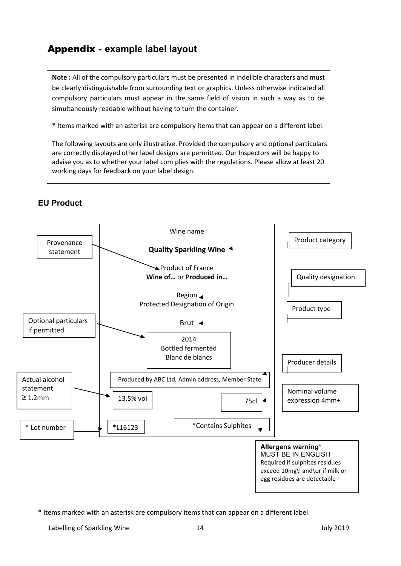# Appendix - **example label layout**

**Note :** All of the compulsory particulars must be presented in indelible characters and must be clearly distinguishable from surrounding text or graphics. Unless otherwise indicated all compulsory particulars must appear in the same field of vision in such a way as to be simultaneously readable without having to turn the container.

**\*** Items marked with an asterisk are compulsory items that can appear on a different label.

The following layouts are only illustrative. Provided the compulsory and optional particulars are correctly displayed other label designs are permitted. Our Inspectors will be happy to advise you as to whether your label com plies with the regulations. Please allow at least 20 working days for feedback on your label design.



**EU Product**

**\*** Items marked with an asterisk are compulsory items that can appear on a different label.

Labelling of Sparkling Wine 14 14 Labelling of Sparkling Wine 14 July 2019